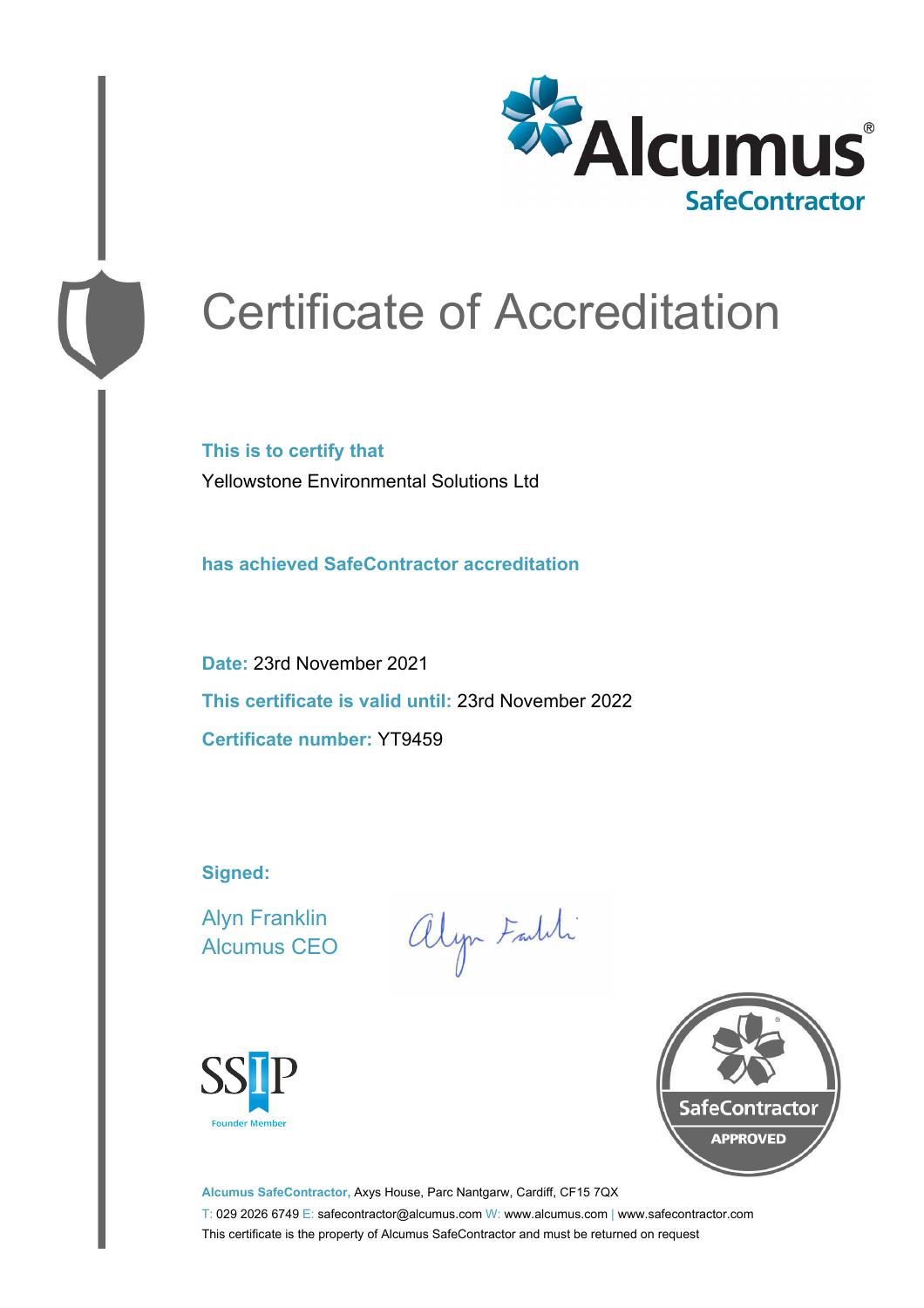

# Certificate of Accreditation

**This is to certify that** Yellowstone Environmental Solutions Ltd

**has achieved SafeContractor accreditation**

**Date:** 23rd November 2021 **This certificate is valid until:** 23rd November 2022 **Certificate number:** YT9459

**Signed:**

Alyn Franklin Alcumus CEO

alyn Faldi





**Alcumus SafeContractor,** Axys House, Parc Nantgarw, Cardiff, CF15 7QX T: 029 2026 6749 E: safecontractor@alcumus.com W: www.alcumus.com | www.safecontractor.com This certificate is the property of Alcumus SafeContractor and must be returned on request